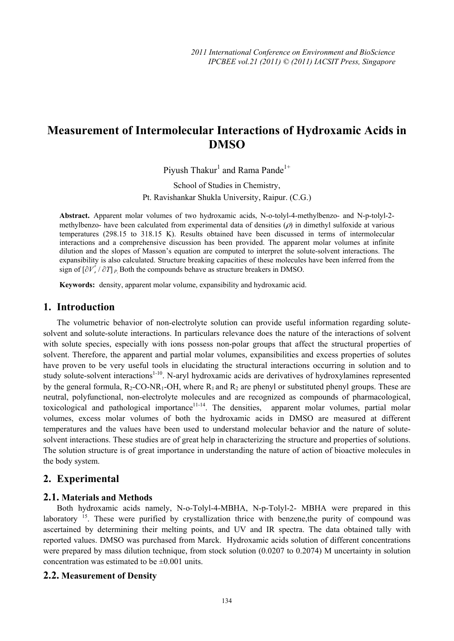# **Measurement of Intermolecular Interactions of Hydroxamic Acids in DMSO**

Piyush Thakur<sup>1</sup> and Rama Pande<sup>1+</sup>

School of Studies in Chemistry, Pt. Ravishankar Shukla University, Raipur. (C.G.)

**Abstract.** Apparent molar volumes of two hydroxamic acids, N-o-tolyl-4-methylbenzo- and N-p-tolyl-2 methylbenzo- have been calculated from experimental data of densities  $(\rho)$  in dimethyl sulfoxide at various temperatures (298.15 to 318.15 K). Results obtained have been discussed in terms of intermolecular interactions and a comprehensive discussion has been provided. The apparent molar volumes at infinite dilution and the slopes of Masson's equation are computed to interpret the solute-solvent interactions. The expansibility is also calculated. Structure breaking capacities of these molecules have been inferred from the sign of  $\left[\partial V^{\circ}_{\nu}/\partial T\right]_P$ , Both the compounds behave as structure breakers in DMSO.

**Keywords:** density, apparent molar volume, expansibility and hydroxamic acid.

## **1. Introduction**

The volumetric behavior of non-electrolyte solution can provide useful information regarding solutesolvent and solute-solute interactions. In particulars relevance does the nature of the interactions of solvent with solute species, especially with ions possess non-polar groups that affect the structural properties of solvent. Therefore, the apparent and partial molar volumes, expansibilities and excess properties of solutes have proven to be very useful tools in elucidating the structural interactions occurring in solution and to study solute-solvent interactions<sup>1-10</sup>. N-aryl hydroxamic acids are derivatives of hydroxylamines represented by the general formula,  $R_2$ -CO-NR<sub>1</sub>-OH, where  $R_1$  and  $R_2$  are phenyl or substituted phenyl groups. These are neutral, polyfunctional, non-electrolyte molecules and are recognized as compounds of pharmacological, toxicological and pathological importance $1^{1-14}$ . The densities, apparent molar volumes, partial molar volumes, excess molar volumes of both the hydroxamic acids in DMSO are measured at different temperatures and the values have been used to understand molecular behavior and the nature of solutesolvent interactions. These studies are of great help in characterizing the structure and properties of solutions. The solution structure is of great importance in understanding the nature of action of bioactive molecules in the body system.

## **2. Experimental**

#### **2.1. Materials and Methods**

Both hydroxamic acids namely, N-o-Tolyl-4-MBHA, N-p-Tolyl-2- MBHA were prepared in this laboratory<sup>15</sup>. These were purified by crystallization thrice with benzene, the purity of compound was ascertained by determining their melting points, and UV and IR spectra. The data obtained tally with reported values. DMSO was purchased from Marck. Hydroxamic acids solution of different concentrations were prepared by mass dilution technique, from stock solution (0.0207 to 0.2074) M uncertainty in solution concentration was estimated to be  $\pm 0.001$  units.

#### **2.2. Measurement of Density**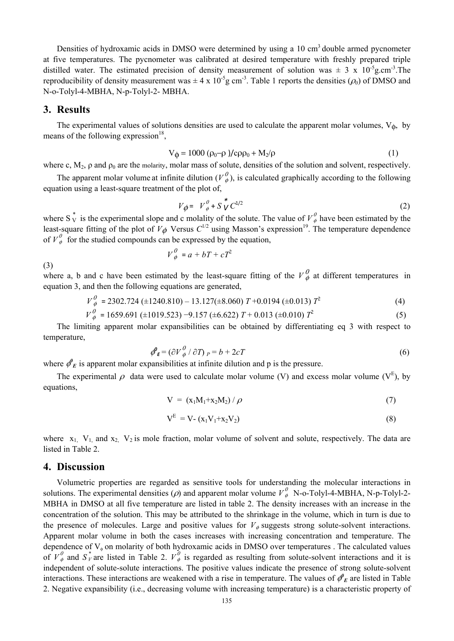Densities of hydroxamic acids in DMSO were determined by using a 10 cm<sup>3</sup> double armed pycnometer at five temperatures. The pycnometer was calibrated at desired temperature with freshly prepared triple distilled water. The estimated precision of density measurement of solution was  $\pm$  3 x 10<sup>-5</sup>g.cm<sup>-3</sup>. The reproducibility of density measurement was  $\pm 4 \times 10^{-5}$ g cm<sup>-3</sup>. Table 1 reports the densities ( $\rho_0$ ) of DMSO and N-o-Tolyl-4-MBHA, N-p-Tolyl-2- MBHA.

## **3. Results**

(3)

The experimental values of solutions densities are used to calculate the apparent molar volumes,  $V_{\phi}$ , by means of the following expression $^{18}$ ,

$$
V_{\phi} = 1000 \left( \rho_0 - \rho \right) / c \rho \rho_0 + M_2 / \rho \tag{1}
$$

where c,  $M_2$ ,  $\rho$  and  $\rho_0$  are the molarity, molar mass of solute, densities of the solution and solvent, respectively.

The apparent molar volume at infinite dilution ( $V^0_{\phi}$ ), is calculated graphically according to the following equation using a least-square treatment of the plot of,

$$
V_{\phi} = V_{\phi}^{\theta} + S_{V}^* C^{1/2}
$$
 (2)

where S  $\stackrel{*}{\rm v}$  is the experimental slope and c molality of the solute. The value of  $V^0_{\phi}$  have been estimated by the least-square fitting of the plot of  $V_{\phi}$  Versus  $C^{1/2}$  using Masson's expression<sup>19</sup>. The temperature dependence of  $V^0_{\phi}$  for the studied compounds can be expressed by the equation,

$$
V^0_{\phi} = a + bT + cT^2
$$

where a, b and c have been estimated by the least-square fitting of the  $V^0_{\phi}$  at different temperatures in equation 3, and then the following equations are generated,

$$
V_{\phi}^{0} = 2302.724 \ (\pm 1240.810) - 13.127 (\pm 8.060) \ T + 0.0194 \ (\pm 0.013) \ T^{2}
$$
 (4)

$$
V_{\phi}^{0} = 1659.691 \ (\pm 1019.523) -9.157 \ (\pm 6.622) \ T + 0.013 \ (\pm 0.010) \ T^{2}
$$
 (5)

The limiting apparent molar expansibilities can be obtained by differentiating eq 3 with respect to temperature,

$$
\phi_{\mathbf{E}}^{\rho} = (\partial V_{\phi}^{\rho} / \partial T)_{P} = b + 2cT
$$
\n(6)

where  $\phi_E^{\rho}$  is apparent molar expansibilities at infinite dilution and p is the pressure.

The experimental  $\rho$  data were used to calculate molar volume (V) and excess molar volume (V<sup>E</sup>), by equations,

$$
V = (x_1M_1 + x_2M_2) / \rho \tag{7}
$$

$$
V^{E} = V - (x_1 V_1 + x_2 V_2)
$$
 (8)

where  $x_1$ ,  $V_1$ , and  $x_2$ ,  $V_2$  is mole fraction, molar volume of solvent and solute, respectively. The data are listed in Table 2.

#### **4. Discussion**

Volumetric properties are regarded as sensitive tools for understanding the molecular interactions in solutions. The experimental densities ( $\rho$ ) and apparent molar volume  $V^{\theta}_{\phi}$  N-o-Tolyl-4-MBHA, N-p-Tolyl-2-MBHA in DMSO at all five temperature are listed in table 2. The density increases with an increase in the concentration of the solution. This may be attributed to the shrinkage in the volume, which in turn is due to the presence of molecules. Large and positive values for  $V_{\phi}$  suggests strong solute-solvent interactions. Apparent molar volume in both the cases increases with increasing concentration and temperature. The dependence of  $V$ <sub> $\phi$ </sub> on molarity of both hydroxamic acids in DMSO over temperatures . The calculated values of  $V^0_{\phi}$  and  $S_V^*$  are listed in Table 2.  $V^0_{\phi}$  is regarded as resulting from solute-solvent interactions and it is independent of solute-solute interactions. The positive values indicate the presence of strong solute-solvent interactions. These interactions are weakened with a rise in temperature. The values of  $\phi_E^{\rho}$  are listed in Table 2. Negative expansibility (i.e., decreasing volume with increasing temperature) is a characteristic property of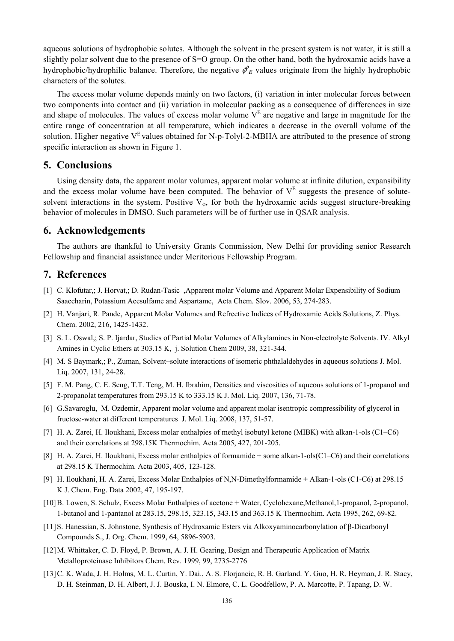aqueous solutions of hydrophobic solutes. Although the solvent in the present system is not water, it is still a slightly polar solvent due to the presence of S=O group. On the other hand, both the hydroxamic acids have a hydrophobic/hydrophilic balance. Therefore, the negative  $\phi_E^{\rho}$  values originate from the highly hydrophobic characters of the solutes.

The excess molar volume depends mainly on two factors, (i) variation in inter molecular forces between two components into contact and (ii) variation in molecular packing as a consequence of differences in size and shape of molecules. The values of excess molar volume  $V<sup>E</sup>$  are negative and large in magnitude for the entire range of concentration at all temperature, which indicates a decrease in the overall volume of the solution. Higher negative  $V<sup>E</sup>$  values obtained for N-p-Tolyl-2-MBHA are attributed to the presence of strong specific interaction as shown in Figure 1.

## **5. Conclusions**

Using density data, the apparent molar volumes, apparent molar volume at infinite dilution, expansibility and the excess molar volume have been computed. The behavior of  $V<sup>E</sup>$  suggests the presence of solutesolvent interactions in the system. Positive  $V_{\phi}$ , for both the hydroxamic acids suggest structure-breaking behavior of molecules in DMSO. Such parameters will be of further use in QSAR analysis.

## **6. Acknowledgements**

The authors are thankful to University Grants Commission, New Delhi for providing senior Research Fellowship and financial assistance under Meritorious Fellowship Program.

## **7. References**

- [1] C. Klofutar,; J. Horvat,; D. Rudan-Tasic ,Apparent molar Volume and Apparent Molar Expensibility of Sodium Saaccharin, Potassium Acesulfame and Aspartame, Acta Chem. Slov. 2006, 53, 274-283.
- [2] H. Vanjari, R. Pande, Apparent Molar Volumes and Refrective Indices of Hydroxamic Acids Solutions, Z. Phys. Chem. 2002, 216, 1425-1432.
- [3] S. L. Oswal,; S. P. Ijardar, Studies of Partial Molar Volumes of Alkylamines in Non-electrolyte Solvents. IV. Alkyl Amines in Cyclic Ethers at 303.15 K, j. Solution Chem 2009, 38, 321-344.
- [4] M. S Baymark,; P., Zuman, Solvent–solute interactions of isomeric phthalaldehydes in aqueous solutions J. Mol. Liq. 2007, 131, 24-28.
- [5] F. M. Pang, C. E. Seng, T.T. Teng, M. H. Ibrahim, Densities and viscosities of aqueous solutions of 1-propanol and 2-propanolat temperatures from 293.15 K to 333.15 K J. Mol. Liq. 2007, 136, 71-78.
- [6] G.Savaroglu, M. Ozdemir, Apparent molar volume and apparent molar isentropic compressibility of glycerol in fructose-water at different temperatures J. Mol. Liq. 2008, 137, 51-57.
- [7] H. A. Zarei, H. Iloukhani, Excess molar enthalpies of methyl isobutyl ketone (MIBK) with alkan-1-ols (C1–C6) and their correlations at 298.15K Thermochim. Acta 2005, 427, 201-205.
- [8] H. A. Zarei, H. Iloukhani, Excess molar enthalpies of formamide + some alkan-1-ols(C1–C6) and their correlations at 298.15 K Thermochim. Acta 2003, 405, 123-128.
- [9] H. Iloukhani, H. A. Zarei, Excess Molar Enthalpies of N,N-Dimethylformamide + Alkan-1-ols (C1-C6) at 298.15 K J. Chem. Eng. Data 2002, 47, 195-197.
- [10]B. Lowen, S. Schulz, Excess Molar Enthalpies of acetone + Water, Cyclohexane,Methanol,1-propanol, 2-propanol, 1-butanol and 1-pantanol at 283.15, 298.15, 323.15, 343.15 and 363.15 K Thermochim. Acta 1995, 262, 69-82.
- [11]S. Hanessian, S. Johnstone, Synthesis of Hydroxamic Esters via Alkoxyaminocarbonylation of β-Dicarbonyl Compounds S., J. Org. Chem. 1999, 64, 5896-5903.
- [12]M. Whittaker, C. D. Floyd, P. Brown, A. J. H. Gearing, Design and Therapeutic Application of Matrix Metalloproteinase Inhibitors Chem. Rev. 1999, 99, 2735-2776
- [13]C. K. Wada, J. H. Holms, M. L. Curtin, Y. Dai., A. S. Florjancic, R. B. Garland. Y. Guo, H. R. Heyman, J. R. Stacy, D. H. Steinman, D. H. Albert, J. J. Bouska, I. N. Elmore, C. L. Goodfellow, P. A. Marcotte, P. Tapang, D. W.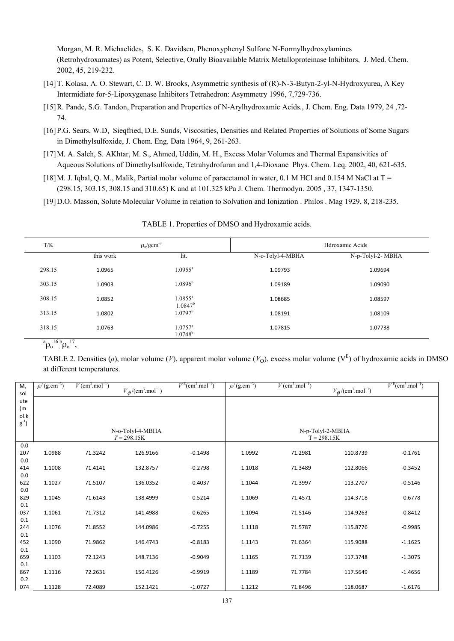Morgan, M. R. Michaelides, S. K. Davidsen, Phenoxyphenyl Sulfone N-Formylhydroxylamines (Retrohydroxamates) as Potent, Selective, Orally Bioavailable Matrix Metalloproteinase Inhibitors, J. Med. Chem. 2002, 45, 219-232.

- [14]T. Kolasa, A. O. Stewart, C. D. W. Brooks, Asymmetric synthesis of (R)-N-3-Butyn-2-yl-N-Hydroxyurea, A Key Intermidiate for-5-Lipoxygenase Inhibitors Tetrahedron: Asymmetry 1996, 7,729-736.
- [15]R. Pande, S.G. Tandon, Preparation and Properties of N-Arylhydroxamic Acids., J. Chem. Eng. Data 1979, 24 ,72- 74.
- [16]P.G. Sears, W.D, Sieqfried, D.E. Sunds, Viscosities, Densities and Related Properties of Solutions of Some Sugars in Dimethylsulfoxide, J. Chem. Eng. Data 1964, 9, 261-263.
- [17]M. A. Saleh, S. AKhtar, M. S., Ahmed, Uddin, M. H., Excess Molar Volumes and Thermal Expansivities of Aqueous Solutions of Dimethylsulfoxide, Tetrahydrofuran and 1,4-Dioxane Phys. Chem. Leq. 2002, 40, 621-635.
- [18]M. J. Iqbal, Q. M., Malik, Partial molar volume of paracetamol in water, 0.1 M HCl and 0.154 M NaCl at T = (298.15, 303.15, 308.15 and 310.65) K and at 101.325 kPa J. Chem. Thermodyn. 2005 , 37, 1347-1350.
- [19]D.O. Masson, Solute Molecular Volume in relation to Solvation and Ionization . Philos . Mag 1929, 8, 218-235.

| T/K    | $\rho_o/gcm^{-3}$ |                                | Hdroxamic Acids  |                   |  |
|--------|-------------------|--------------------------------|------------------|-------------------|--|
|        | this work         | lit.                           | N-o-Tolyl-4-MBHA | N-p-Tolyl-2- MBHA |  |
| 298.15 | 1.0965            | $1.0955^a$                     | 1.09793          | 1.09694           |  |
| 303.15 | 1.0903            | $1.0896^{\rm b}$               | 1.09189          | 1.09090           |  |
| 308.15 | 1.0852            | $1.0855^a$<br>$1.0847^b$       | 1.08685          | 1.08597           |  |
| 313.15 | 1.0802            | $1.0797^{\rm b}$               | 1.08191          | 1.08109           |  |
| 318.15 | 1.0763            | $1.0757^{\rm a}$<br>$1.0748^b$ | 1.07815          | 1.07738           |  |

TABLE 1. Properties of DMSO and Hydroxamic acids.

 $^{a}\rho_{o}^{16}$ ,  $^{b}\rho_{o}^{17}$ ,

TABLE 2. Densities ( $\rho$ ), molar volume (*V*), apparent molar volume ( $V_{\phi}$ ), excess molar volume ( $V^E$ ) of hydroxamic acids in DMSO at different temperatures.

| М,<br>sol  | $\rho / (g.cm^{-3})$ | $V$ (cm <sup>3</sup> .mol <sup>-1</sup> ) | $V_{\phi}/(\text{cm}^3.\text{mol}^{-1})$ | $VE(cm3.mol-1)$ | $\rho$ /(g.cm <sup>-3</sup> ) | $V$ (cm <sup>3</sup> .mol <sup>-1</sup> ) | $V_{\phi}/(\text{cm}^3.\text{mol}^{-1})$ | $VE(cm3.mol-1)$ |
|------------|----------------------|-------------------------------------------|------------------------------------------|-----------------|-------------------------------|-------------------------------------------|------------------------------------------|-----------------|
| ute        |                      |                                           |                                          |                 |                               |                                           |                                          |                 |
| (m)        |                      |                                           |                                          |                 |                               |                                           |                                          |                 |
| ol.k       |                      |                                           |                                          |                 |                               |                                           |                                          |                 |
| $g^{-1}$   |                      |                                           |                                          |                 |                               |                                           |                                          |                 |
|            |                      |                                           | N-o-Tolyl-4-MBHA                         |                 |                               | N-p-Tolyl-2-MBHA                          |                                          |                 |
|            |                      |                                           | $T = 298.15K$                            |                 |                               | $T = 298.15K$                             |                                          |                 |
| 0.0        |                      |                                           |                                          |                 |                               |                                           |                                          |                 |
| 207        | 1.0988               | 71.3242                                   | 126.9166                                 | $-0.1498$       | 1.0992                        | 71.2981                                   | 110.8739                                 | $-0.1761$       |
| 0.0        |                      |                                           |                                          |                 |                               |                                           |                                          |                 |
| 414        | 1.1008               | 71.4141                                   | 132.8757                                 | $-0.2798$       | 1.1018                        | 71.3489                                   | 112.8066                                 | $-0.3452$       |
| 0.0        |                      |                                           |                                          |                 |                               |                                           |                                          |                 |
| 622        | 1.1027               | 71.5107                                   | 136.0352                                 | $-0.4037$       | 1.1044                        | 71.3997                                   | 113.2707                                 | $-0.5146$       |
| 0.0        | 1.1045               | 71.6143                                   | 138.4999                                 | $-0.5214$       | 1.1069                        | 71.4571                                   |                                          | $-0.6778$       |
| 829<br>0.1 |                      |                                           |                                          |                 |                               |                                           | 114.3718                                 |                 |
| 037        | 1.1061               | 71.7312                                   | 141.4988                                 | $-0.6265$       | 1.1094                        | 71.5146                                   | 114.9263                                 | $-0.8412$       |
| 0.1        |                      |                                           |                                          |                 |                               |                                           |                                          |                 |
| 244        | 1.1076               | 71.8552                                   | 144.0986                                 | $-0.7255$       | 1.1118                        | 71.5787                                   | 115.8776                                 | $-0.9985$       |
| 0.1        |                      |                                           |                                          |                 |                               |                                           |                                          |                 |
| 452        | 1.1090               | 71.9862                                   | 146.4743                                 | $-0.8183$       | 1.1143                        | 71.6364                                   | 115.9088                                 | $-1.1625$       |
| 0.1        |                      |                                           |                                          |                 |                               |                                           |                                          |                 |
| 659        | 1.1103               | 72.1243                                   | 148.7136                                 | $-0.9049$       | 1.1165                        | 71.7139                                   | 117.3748                                 | $-1.3075$       |
| 0.1        |                      |                                           |                                          |                 |                               |                                           |                                          |                 |
| 867        | 1.1116               | 72.2631                                   | 150.4126                                 | $-0.9919$       | 1.1189                        | 71.7784                                   | 117.5649                                 | $-1.4656$       |
| 0.2        |                      |                                           |                                          |                 |                               |                                           |                                          |                 |
| 074        | 1.1128               | 72.4089                                   | 152.1421                                 | $-1.0727$       | 1.1212                        | 71.8496                                   | 118.0687                                 | $-1.6176$       |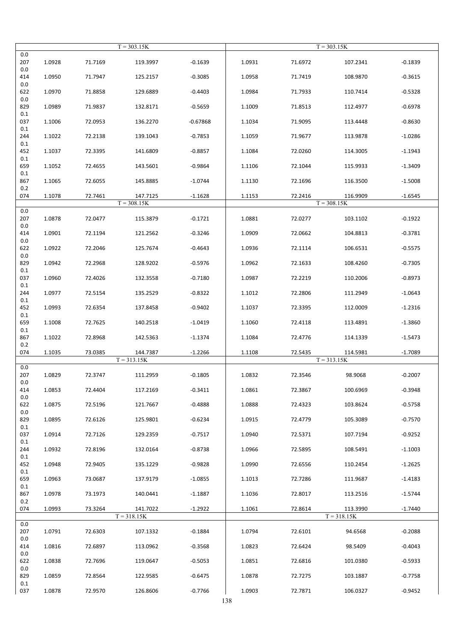|                | $T = 303.15K$ |         |               | $T = 303.15K$ |        |         |               |           |
|----------------|---------------|---------|---------------|---------------|--------|---------|---------------|-----------|
| 0.0<br>207     | 1.0928        | 71.7169 | 119.3997      | $-0.1639$     | 1.0931 | 71.6972 | 107.2341      | $-0.1839$ |
| 0.0<br>414     | 1.0950        | 71.7947 | 125.2157      | $-0.3085$     | 1.0958 | 71.7419 | 108.9870      | $-0.3615$ |
| 0.0<br>622     | 1.0970        | 71.8858 | 129.6889      | $-0.4403$     | 1.0984 | 71.7933 | 110.7414      | $-0.5328$ |
| 0.0<br>829     | 1.0989        | 71.9837 | 132.8171      | $-0.5659$     | 1.1009 | 71.8513 | 112.4977      | $-0.6978$ |
| 0.1<br>037     | 1.1006        | 72.0953 | 136.2270      | $-0.67868$    | 1.1034 | 71.9095 | 113.4448      | $-0.8630$ |
| 0.1<br>244     | 1.1022        | 72.2138 | 139.1043      | $-0.7853$     | 1.1059 | 71.9677 | 113.9878      | $-1.0286$ |
| 0.1<br>452     | 1.1037        | 72.3395 | 141.6809      | $-0.8857$     | 1.1084 | 72.0260 | 114.3005      | $-1.1943$ |
| 0.1<br>659     | 1.1052        | 72.4655 | 143.5601      | $-0.9864$     | 1.1106 | 72.1044 | 115.9933      | $-1.3409$ |
| 0.1<br>867     | 1.1065        | 72.6055 | 145.8885      | $-1.0744$     | 1.1130 | 72.1696 | 116.3500      | $-1.5008$ |
| 0.2<br>074     | 1.1078        | 72.7461 | 147.7125      | $-1.1628$     | 1.1153 | 72.2416 | 116.9909      | $-1.6545$ |
|                |               |         | $T = 308.15K$ |               |        |         | $T = 308.15K$ |           |
| 0.0            |               |         |               |               |        |         |               |           |
| 207<br>$0.0\,$ | 1.0878        | 72.0477 | 115.3879      | $-0.1721$     | 1.0881 | 72.0277 | 103.1102      | $-0.1922$ |
| 414<br>0.0     | 1.0901        | 72.1194 | 121.2562      | $-0.3246$     | 1.0909 | 72.0662 | 104.8813      | $-0.3781$ |
| 622<br>0.0     | 1.0922        | 72.2046 | 125.7674      | $-0.4643$     | 1.0936 | 72.1114 | 106.6531      | $-0.5575$ |
| 829<br>0.1     | 1.0942        | 72.2968 | 128.9202      | $-0.5976$     | 1.0962 | 72.1633 | 108.4260      | $-0.7305$ |
| 037<br>0.1     | 1.0960        | 72.4026 | 132.3558      | $-0.7180$     | 1.0987 | 72.2219 | 110.2006      | $-0.8973$ |
| 244<br>0.1     | 1.0977        | 72.5154 | 135.2529      | $-0.8322$     | 1.1012 | 72.2806 | 111.2949      | $-1.0643$ |
| 452<br>0.1     | 1.0993        | 72.6354 | 137.8458      | $-0.9402$     | 1.1037 | 72.3395 | 112.0009      | $-1.2316$ |
| 659            | 1.1008        | 72.7625 | 140.2518      | $-1.0419$     | 1.1060 | 72.4118 | 113.4891      | $-1.3860$ |
| 0.1<br>867     | 1.1022        | 72.8968 | 142.5363      | $-1.1374$     | 1.1084 | 72.4776 | 114.1339      | $-1.5473$ |
| 0.2<br>074     | 1.1035        | 73.0385 | 144.7387      | $-1.2266$     | 1.1108 | 72.5435 | 114.5981      | $-1.7089$ |
| 0.0            |               |         | $T = 313.15K$ |               |        |         | $T = 313.15K$ |           |
| 207<br>0.0     | 1.0829        | 72.3747 | 111.2959      | $-0.1805$     | 1.0832 | 72.3546 | 98.9068       | $-0.2007$ |
| 414<br>0.0     | 1.0853        | 72.4404 | 117.2169      | $-0.3411$     | 1.0861 | 72.3867 | 100.6969      | $-0.3948$ |
| 622<br>0.0     | 1.0875        | 72.5196 | 121.7667      | $-0.4888$     | 1.0888 | 72.4323 | 103.8624      | $-0.5758$ |
| 829<br>0.1     | 1.0895        | 72.6126 | 125.9801      | $-0.6234$     | 1.0915 | 72.4779 | 105.3089      | $-0.7570$ |
| 037<br>0.1     | 1.0914        | 72.7126 | 129.2359      | $-0.7517$     | 1.0940 | 72.5371 | 107.7194      | $-0.9252$ |
| 244<br>0.1     | 1.0932        | 72.8196 | 132.0164      | $-0.8738$     | 1.0966 | 72.5895 | 108.5491      | $-1.1003$ |
| 452            | 1.0948        | 72.9405 | 135.1229      | $-0.9828$     | 1.0990 | 72.6556 | 110.2454      | $-1.2625$ |
| 0.1<br>659     | 1.0963        | 73.0687 | 137.9179      | $-1.0855$     | 1.1013 | 72.7286 | 111.9687      | $-1.4183$ |
| 0.1<br>867     | 1.0978        | 73.1973 | 140.0441      | $-1.1887$     | 1.1036 | 72.8017 | 113.2516      | $-1.5744$ |
| 0.2<br>074     | 1.0993        | 73.3264 | 141.7022      | $-1.2922$     | 1.1061 | 72.8614 | 113.3990      | $-1.7440$ |
| 0.0            |               |         | $T = 318.15K$ |               |        |         | $T = 318.15K$ |           |
| 207<br>0.0     | 1.0791        | 72.6303 | 107.1332      | $-0.1884$     | 1.0794 | 72.6101 | 94.6568       | $-0.2088$ |
| 414<br>0.0     | 1.0816        | 72.6897 | 113.0962      | $-0.3568$     | 1.0823 | 72.6424 | 98.5409       | $-0.4043$ |
| 622<br>0.0     | 1.0838        | 72.7696 | 119.0647      | $-0.5053$     | 1.0851 | 72.6816 | 101.0380      | $-0.5933$ |
| 829            | 1.0859        | 72.8564 | 122.9585      | $-0.6475$     | 1.0878 | 72.7275 | 103.1887      | $-0.7758$ |
| 0.1<br>037     | 1.0878        | 72.9570 | 126.8606      | $-0.7766$     | 1.0903 | 72.7871 | 106.0327      | $-0.9452$ |
|                |               |         |               |               | 138    |         |               |           |